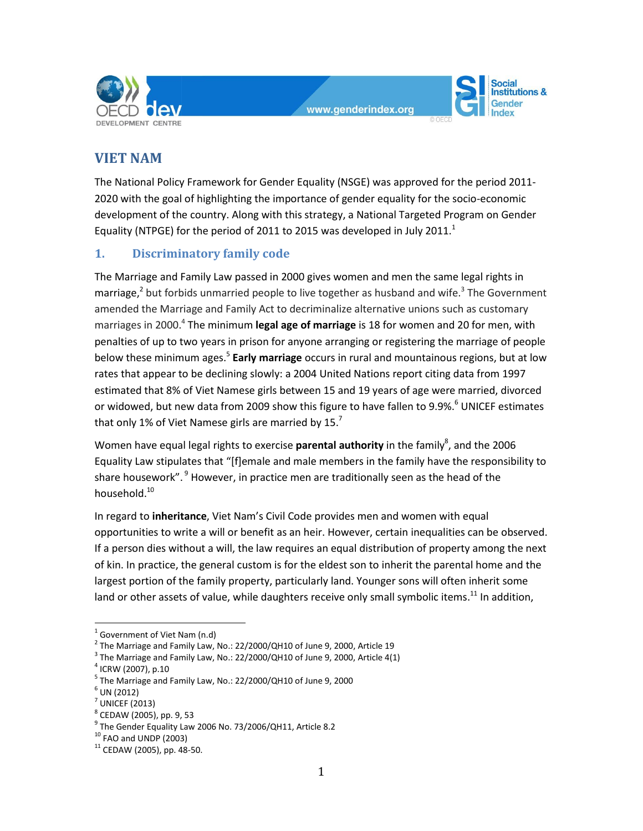



# **VIET NAM**

The National Policy Framework for Gender Equality (NSGE) was approved for the period 2011- 2020 with the goal of highlighting the importance of gender equality for the socio-economic development of the country. Along with this strategy, a National Targeted Program on Gender Equality (NTPGE) for the period of 2011 to 2015 was developed in July 2011.<sup>1</sup>

# **1. Discriminatory family code**

The Marriage and Family Law passed in 2000 gives women and men the same legal rights in marriage,<sup>2</sup> but forbids unmarried people to live together as husband and wife.<sup>3</sup> The Government amended the Marriage and Family Act to decriminalize alternative unions such as customary marriages in 2000.<sup>4</sup> The minimum **legal age of marriage** is 18 for women and 20 for men, with penalties of up to two years in prison for anyone arranging or registering the marriage of people below these minimum ages. 5 **Early marriage** occurs in rural and mountainous regions, but at low rates that appear to be declining slowly: a 2004 United Nations report citing data from 1997 estimated that 8% of Viet Namese girls between 15 and 19 years of age were married, divorced or widowed, but new data from 2009 show this figure to have fallen to 9.9%.<sup>6</sup> UNICEF estimates that only 1% of Viet Namese girls are married by 15.7

Women have equal legal rights to exercise **parental authority** in the family<sup>8</sup>, and the 2006 Equality Law stipulates that "[f]emale and male members in the family have the responsibility to share housework".  $9$  However, in practice men are traditionally seen as the head of the household.<sup>10</sup>

In regard to **inheritance**, Viet Nam's Civil Code provides men and women with equal opportunities to write a will or benefit as an heir. However, certain inequalities can be observed. If a person dies without a will, the law requires an equal distribution of property among the next of kin. In practice, the general custom is for the eldest son to inherit the parental home and the largest portion of the family property, particularly land. Younger sons will often inherit some land or other assets of value, while daughters receive only small symbolic items.<sup>11</sup> In addition,

 $\overline{a}$ 

 $<sup>1</sup>$  Government of Viet Nam (n.d)</sup>

 $^2$  The Marriage and Family Law, No.: 22/2000/QH10 of June 9, 2000, Article 19

 $^3$  The Marriage and Family Law, No.: 22/2000/QH10 of June 9, 2000, Article 4(1)

<sup>4</sup> ICRW (2007), p.10

<sup>&</sup>lt;sup>5</sup> The Marriage and Family Law, No.: 22/2000/QH10 of June 9, 2000

 $^6$  UN (2012)

 $<sup>7</sup>$  UNICEF (2013)</sup>

<sup>&</sup>lt;sup>8</sup> CEDAW (2005), pp. 9, 53

<sup>9</sup> The Gender Equality Law 2006 No. 73/2006/QH11, Article 8.2

 $10$  FAO and UNDP (2003)

 $11$  CEDAW (2005), pp. 48-50.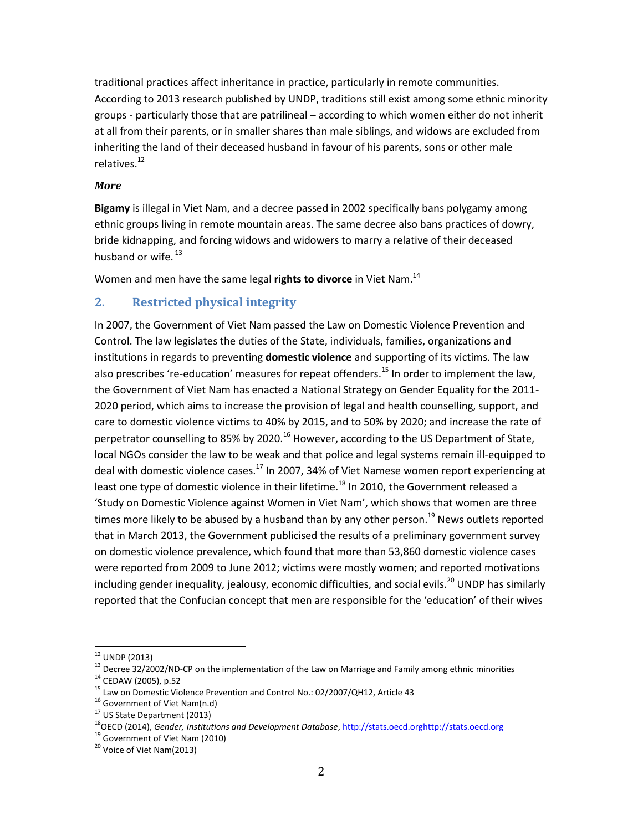traditional practices affect inheritance in practice, particularly in remote communities. According to 2013 research published by UNDP, traditions still exist among some ethnic minority groups - particularly those that are patrilineal – according to which women either do not inherit at all from their parents, or in smaller shares than male siblings, and widows are excluded from inheriting the land of their deceased husband in favour of his parents, sons or other male relatives.<sup>12</sup>

#### *More*

**Bigamy** is illegal in Viet Nam, and a decree passed in 2002 specifically bans polygamy among ethnic groups living in remote mountain areas. The same decree also bans practices of dowry, bride kidnapping, and forcing widows and widowers to marry a relative of their deceased husband or wife.  $^{13}$ 

Women and men have the same legal **rights to divorce** in Viet Nam.<sup>14</sup>

# **2. Restricted physical integrity**

In 2007, the Government of Viet Nam passed the Law on Domestic Violence Prevention and Control. The law legislates the duties of the State, individuals, families, organizations and institutions in regards to preventing **domestic violence** and supporting of its victims. The law also prescribes 're-education' measures for repeat offenders.<sup>15</sup> In order to implement the law, the Government of Viet Nam has enacted a National Strategy on Gender Equality for the 2011- 2020 period, which aims to increase the provision of legal and health counselling, support, and care to domestic violence victims to 40% by 2015, and to 50% by 2020; and increase the rate of perpetrator counselling to 85% by 2020.<sup>16</sup> However, according to the US Department of State, local NGOs consider the law to be weak and that police and legal systems remain ill-equipped to deal with domestic violence cases.<sup>17</sup> In 2007, 34% of Viet Namese women report experiencing at least one type of domestic violence in their lifetime.<sup>18</sup> In 2010, the Government released a 'Study on Domestic Violence against Women in Viet Nam', which shows that women are three times more likely to be abused by a husband than by any other person.<sup>19</sup> News outlets reported that in March 2013, the Government publicised the results of a preliminary government survey on domestic violence prevalence, which found that more than 53,860 domestic violence cases were reported from 2009 to June 2012; victims were mostly women; and reported motivations including gender inequality, jealousy, economic difficulties, and social evils.<sup>20</sup> UNDP has similarly reported that the Confucian concept that men are responsible for the 'education' of their wives

 $12$  UNDP (2013)

<sup>&</sup>lt;sup>13</sup> Decree 32/2002/ND-CP on the implementation of the Law on Marriage and Family among ethnic minorities

<sup>14</sup> CEDAW (2005), p.52

<sup>&</sup>lt;sup>15</sup> Law on Domestic Violence Prevention and Control No.: 02/2007/QH12, Article 43

 $16$  Government of Viet Nam(n.d)

<sup>&</sup>lt;sup>17</sup> US State Department (2013)

<sup>18</sup>OECD (2014), *Gender, Institutions and Development Database*, [http://stats.oecd.orghttp://stats.oecd.org](http://stats.oecd.org/)

<sup>&</sup>lt;sup>19</sup> Government of Viet Nam (2010)

<sup>&</sup>lt;sup>20</sup> Voice of Viet Nam(2013)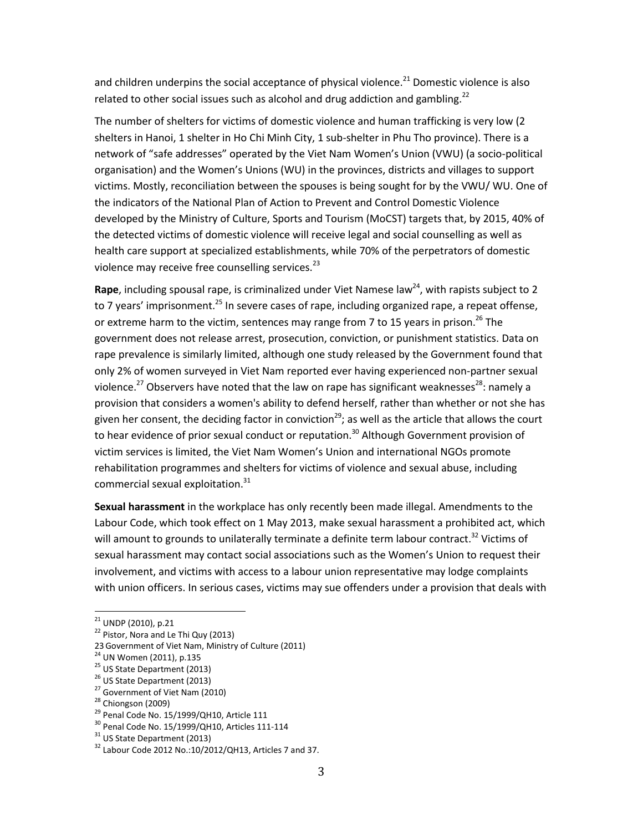and children underpins the social acceptance of physical violence. $^{21}$  Domestic violence is also related to other social issues such as alcohol and drug addiction and gambling.<sup>22</sup>

The number of shelters for victims of domestic violence and human trafficking is very low (2 shelters in Hanoi, 1 shelter in Ho Chi Minh City, 1 sub-shelter in Phu Tho province). There is a network of "safe addresses" operated by the Viet Nam Women's Union (VWU) (a socio-political organisation) and the Women's Unions (WU) in the provinces, districts and villages to support victims. Mostly, reconciliation between the spouses is being sought for by the VWU/ WU. One of the indicators of the National Plan of Action to Prevent and Control Domestic Violence developed by the Ministry of Culture, Sports and Tourism (MoCST) targets that, by 2015, 40% of the detected victims of domestic violence will receive legal and social counselling as well as health care support at specialized establishments, while 70% of the perpetrators of domestic violence may receive free counselling services. $^{23}$ 

**Rape**, including spousal rape, is criminalized under Viet Namese law<sup>24</sup>, with rapists subject to 2 to 7 years' imprisonment.<sup>25</sup> In severe cases of rape, including organized rape, a repeat offense, or extreme harm to the victim, sentences may range from 7 to 15 years in prison.<sup>26</sup> The government does not release arrest, prosecution, conviction, or punishment statistics. Data on rape prevalence is similarly limited, although one study released by the Government found that only 2% of women surveyed in Viet Nam reported ever having experienced non-partner sexual violence.<sup>27</sup> Observers have noted that the law on rape has significant weaknesses<sup>28</sup>: namely a provision that considers a women's ability to defend herself, rather than whether or not she has given her consent, the deciding factor in conviction<sup>29</sup>; as well as the article that allows the court to hear evidence of prior sexual conduct or reputation.<sup>30</sup> Although Government provision of victim services is limited, the Viet Nam Women's Union and international NGOs promote rehabilitation programmes and shelters for victims of violence and sexual abuse, including commercial sexual exploitation.<sup>31</sup>

**Sexual harassment** in the workplace has only recently been made illegal. Amendments to the Labour Code, which took effect on 1 May 2013, make sexual harassment a prohibited act, which will amount to grounds to unilaterally terminate a definite term labour contract.<sup>32</sup> Victims of sexual harassment may contact social associations such as the Women's Union to request their involvement, and victims with access to a labour union representative may lodge complaints with union officers. In serious cases, victims may sue offenders under a provision that deals with

<sup>21</sup> UNDP (2010), p.21

 $22$  Pistor, Nora and Le Thi Quy (2013)

<sup>23</sup>Government of Viet Nam, Ministry of Culture (2011)

<sup>&</sup>lt;sup>24</sup> UN Women (2011), p.135

<sup>&</sup>lt;sup>25</sup> US State Department (2013)

<sup>&</sup>lt;sup>26</sup> US State Department (2013)

<sup>&</sup>lt;sup>27</sup> Government of Viet Nam (2010)

<sup>&</sup>lt;sup>28</sup> Chiongson (2009)

 $29$  Penal Code No. 15/1999/QH10, Article 111

<sup>30</sup> Penal Code No. 15/1999/QH10, Articles 111-114

 $31$  US State Department (2013)

 $32$  Labour Code 2012 No.:10/2012/QH13, Articles 7 and 37.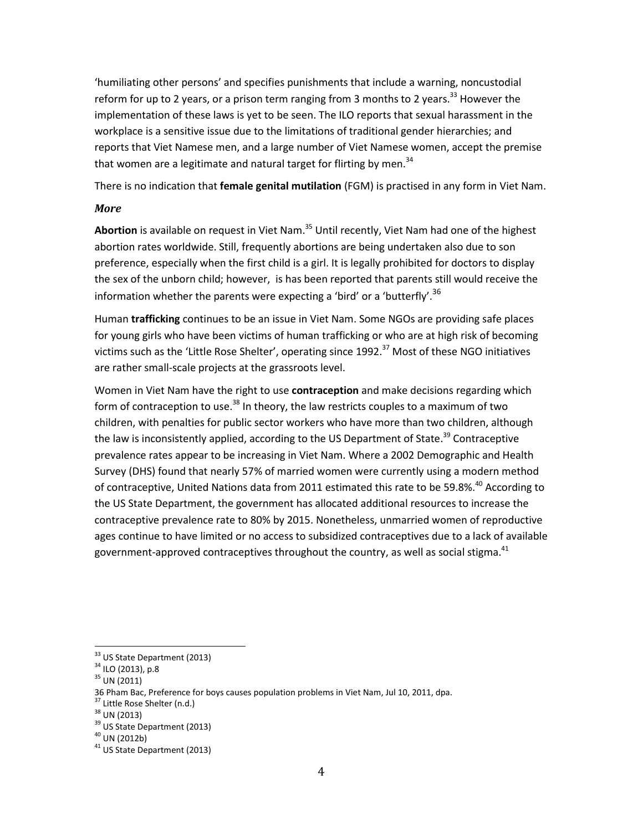'humiliating other persons' and specifies punishments that include a warning, noncustodial reform for up to 2 years, or a prison term ranging from 3 months to 2 years.<sup>33</sup> However the implementation of these laws is yet to be seen. The ILO reports that sexual harassment in the workplace is a sensitive issue due to the limitations of traditional gender hierarchies; and reports that Viet Namese men, and a large number of Viet Namese women, accept the premise that women are a legitimate and natural target for flirting by men.<sup>34</sup>

There is no indication that **female genital mutilation** (FGM) is practised in any form in Viet Nam.

#### *More*

Abortion is available on request in Viet Nam.<sup>35</sup> Until recently, Viet Nam had one of the highest abortion rates worldwide. Still, frequently abortions are being undertaken also due to son preference, especially when the first child is a girl. It is legally prohibited for doctors to display the sex of the unborn child; however, is has been reported that parents still would receive the information whether the parents were expecting a 'bird' or a 'butterfly'.<sup>36</sup>

Human **trafficking** continues to be an issue in Viet Nam. Some NGOs are providing safe places for young girls who have been victims of human trafficking or who are at high risk of becoming victims such as the 'Little Rose Shelter', operating since 1992.<sup>37</sup> Most of these NGO initiatives are rather small-scale projects at the grassroots level.

Women in Viet Nam have the right to use **contraception** and make decisions regarding which form of contraception to use.<sup>38</sup> In theory, the law restricts couples to a maximum of two children, with penalties for public sector workers who have more than two children, although the law is inconsistently applied, according to the US Department of State.<sup>39</sup> Contraceptive prevalence rates appear to be increasing in Viet Nam. Where a 2002 Demographic and Health Survey (DHS) found that nearly 57% of married women were currently using a modern method of contraceptive, United Nations data from 2011 estimated this rate to be 59.8%.<sup>40</sup> According to the US State Department, the government has allocated additional resources to increase the contraceptive prevalence rate to 80% by 2015. Nonetheless, unmarried women of reproductive ages continue to have limited or no access to subsidized contraceptives due to a lack of available government-approved contraceptives throughout the country, as well as social stigma.<sup>41</sup>

<sup>&</sup>lt;sup>33</sup> US State Department (2013)

 $34$  ILO (2013), p.8

 $35$  UN (2011)

<sup>36</sup> Pham Bac, Preference for boys causes population problems in Viet Nam, Jul 10, 2011, dpa.

<sup>37</sup> Little Rose Shelter (n.d.)

 $38$  UN (2013)

 $39$  US State Department (2013)

 $40$  UN (2012b)

 $41$  US State Department (2013)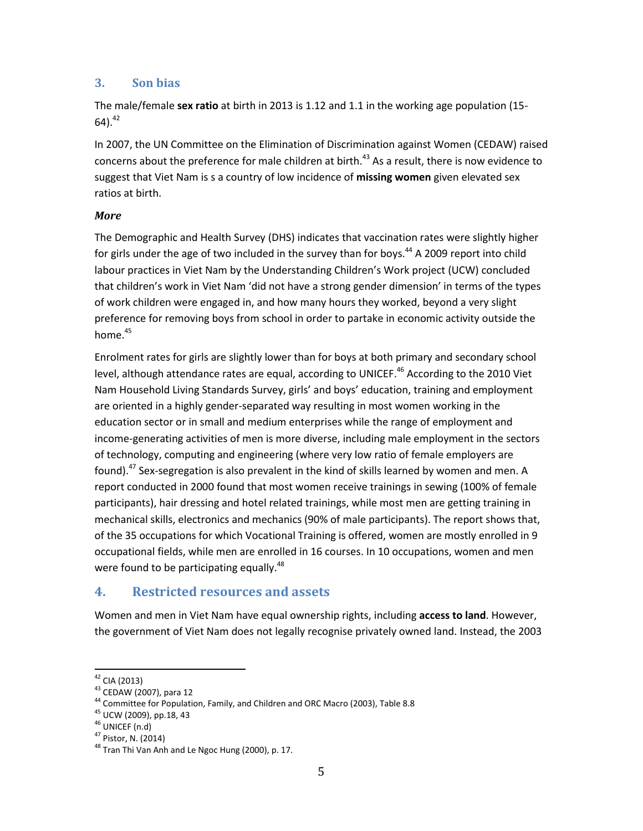### **3. Son bias**

The male/female **sex ratio** at birth in 2013 is 1.12 and 1.1 in the working age population (15- 64). 42

In 2007, the UN Committee on the Elimination of Discrimination against Women (CEDAW) raised concerns about the preference for male children at birth. $43$  As a result, there is now evidence to suggest that Viet Nam is s a country of low incidence of **missing women** given elevated sex ratios at birth.

#### *More*

The Demographic and Health Survey (DHS) indicates that vaccination rates were slightly higher for girls under the age of two included in the survey than for boys.<sup>44</sup> A 2009 report into child labour practices in Viet Nam by the Understanding Children's Work project (UCW) concluded that children's work in Viet Nam 'did not have a strong gender dimension' in terms of the types of work children were engaged in, and how many hours they worked, beyond a very slight preference for removing boys from school in order to partake in economic activity outside the home. 45

Enrolment rates for girls are slightly lower than for boys at both primary and secondary school level, although attendance rates are equal, according to UNICEF.<sup>46</sup> According to the 2010 Viet Nam Household Living Standards Survey, girls' and boys' education, training and employment are oriented in a highly gender-separated way resulting in most women working in the education sector or in small and medium enterprises while the range of employment and income-generating activities of men is more diverse, including male employment in the sectors of technology, computing and engineering (where very low ratio of female employers are found).<sup>47</sup> Sex-segregation is also prevalent in the kind of skills learned by women and men. A report conducted in 2000 found that most women receive trainings in sewing (100% of female participants), hair dressing and hotel related trainings, while most men are getting training in mechanical skills, electronics and mechanics (90% of male participants). The report shows that, of the 35 occupations for which Vocational Training is offered, women are mostly enrolled in 9 occupational fields, while men are enrolled in 16 courses. In 10 occupations, women and men were found to be participating equally.<sup>48</sup>

# **4. Restricted resources and assets**

Women and men in Viet Nam have equal ownership rights, including **access to land**. However, the government of Viet Nam does not legally recognise privately owned land. Instead, the 2003

 $\overline{\phantom{a}}$ <sup>42</sup> CIA (2013)

<sup>43</sup> CEDAW (2007), para 12

<sup>44</sup> Committee for Population, Family, and Children and ORC Macro (2003), Table 8.8

<sup>&</sup>lt;sup>45</sup> UCW (2009), pp.18, 43

 $46$  UNICEF (n.d)

<sup>47</sup> Pistor, N. (2014)

 $^{48}$  Tran Thi Van Anh and Le Ngoc Hung (2000), p. 17.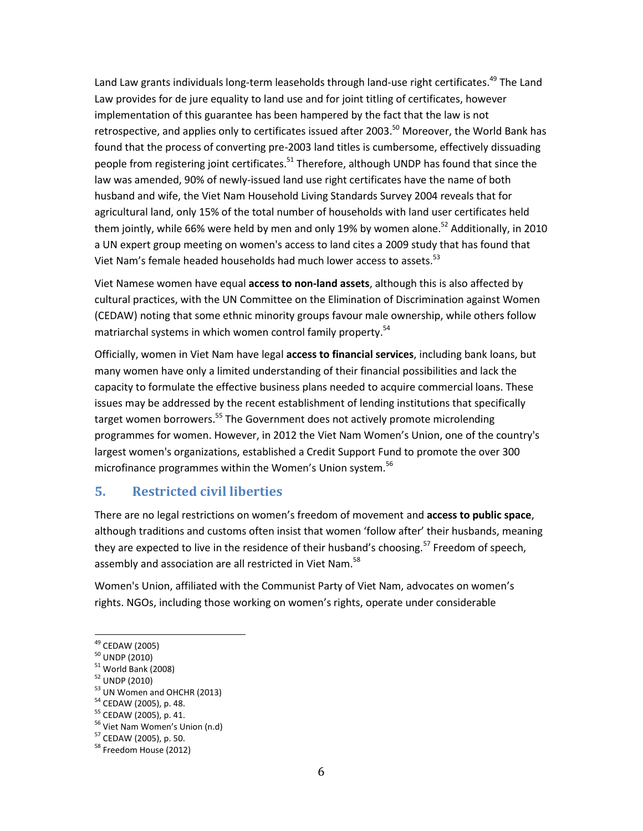Land Law grants individuals long-term leaseholds through land-use right certificates.<sup>49</sup> The Land Law provides for de jure equality to land use and for joint titling of certificates, however implementation of this guarantee has been hampered by the fact that the law is not retrospective, and applies only to certificates issued after 2003.<sup>50</sup> Moreover, the World Bank has found that the process of converting pre-2003 land titles is cumbersome, effectively dissuading people from registering joint certificates.<sup>51</sup> Therefore, although UNDP has found that since the law was amended, 90% of newly-issued land use right certificates have the name of both husband and wife, the Viet Nam Household Living Standards Survey 2004 reveals that for agricultural land, only 15% of the total number of households with land user certificates held them jointly, while 66% were held by men and only 19% by women alone.<sup>52</sup> Additionally, in 2010 a UN expert group meeting on women's access to land cites a 2009 study that has found that Viet Nam's female headed households had much lower access to assets.<sup>53</sup>

Viet Namese women have equal **access to non-land assets**, although this is also affected by cultural practices, with the UN Committee on the Elimination of Discrimination against Women (CEDAW) noting that some ethnic minority groups favour male ownership, while others follow matriarchal systems in which women control family property.<sup>54</sup>

Officially, women in Viet Nam have legal **access to financial services**, including bank loans, but many women have only a limited understanding of their financial possibilities and lack the capacity to formulate the effective business plans needed to acquire commercial loans. These issues may be addressed by the recent establishment of lending institutions that specifically target women borrowers.<sup>55</sup> The Government does not actively promote microlending programmes for women. However, in 2012 the Viet Nam Women's Union, one of the country's largest women's organizations, established a Credit Support Fund to promote the over 300 microfinance programmes within the Women's Union system.<sup>56</sup>

# **5. Restricted civil liberties**

There are no legal restrictions on women's freedom of movement and **access to public space**, although traditions and customs often insist that women 'follow after' their husbands, meaning they are expected to live in the residence of their husband's choosing.<sup>57</sup> Freedom of speech, assembly and association are all restricted in Viet Nam.<sup>58</sup>

Women's Union, affiliated with the Communist Party of Viet Nam, advocates on women's rights. NGOs, including those working on women's rights, operate under considerable

<sup>&</sup>lt;sup>49</sup> CEDAW (2005)

 $50$  UNDP (2010)

 $51$  World Bank (2008)

<sup>52</sup> UNDP (2010)

<sup>&</sup>lt;sup>53</sup> UN Women and OHCHR (2013)

<sup>54</sup> CEDAW (2005), p. 48.

<sup>55</sup> CEDAW (2005), p. 41.

<sup>56</sup> Viet Nam Women's Union (n.d)

<sup>57</sup> CEDAW (2005), p. 50.

<sup>&</sup>lt;sup>58</sup> Freedom House (2012)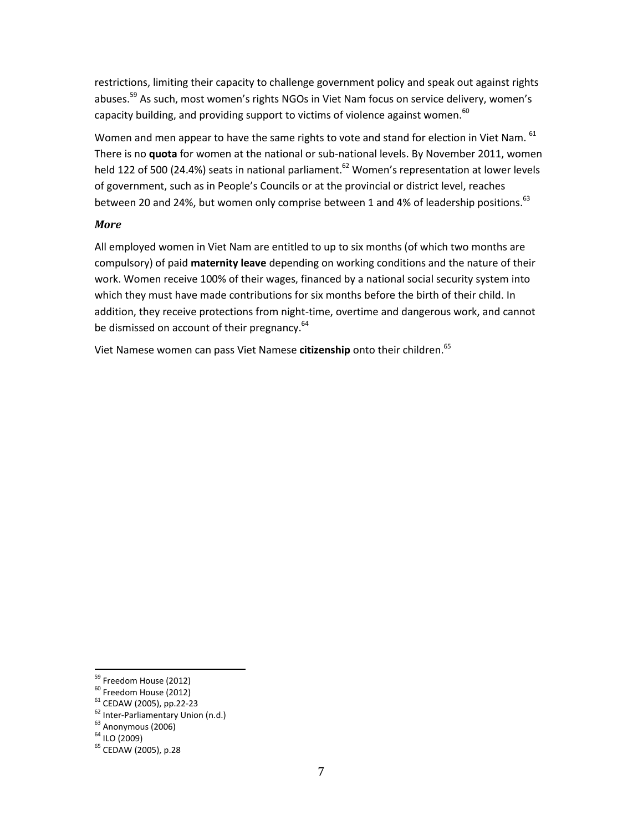restrictions, limiting their capacity to challenge government policy and speak out against rights abuses.<sup>59</sup> As such, most women's rights NGOs in Viet Nam focus on service delivery, women's capacity building, and providing support to victims of violence against women.<sup>60</sup>

Women and men appear to have the same rights to vote and stand for election in Viet Nam. 61 There is no **quota** for women at the national or sub-national levels. By November 2011, women held 122 of 500 (24.4%) seats in national parliament.<sup>62</sup> Women's representation at lower levels of government, such as in People's Councils or at the provincial or district level, reaches between 20 and 24%, but women only comprise between 1 and 4% of leadership positions.<sup>63</sup>

#### *More*

All employed women in Viet Nam are entitled to up to six months (of which two months are compulsory) of paid **maternity leave** depending on working conditions and the nature of their work. Women receive 100% of their wages, financed by a national social security system into which they must have made contributions for six months before the birth of their child. In addition, they receive protections from night-time, overtime and dangerous work, and cannot be dismissed on account of their pregnancy.<sup>64</sup>

Viet Namese women can pass Viet Namese **citizenship** onto their children.<sup>65</sup>

<sup>&</sup>lt;sup>59</sup> Freedom House (2012)

<sup>&</sup>lt;sup>60</sup> Freedom House (2012)

<sup>61</sup> CEDAW (2005), pp.22-23

<sup>62</sup> Inter-Parliamentary Union (n.d.)

 $63$  Anonymous (2006)

 $64$  ILO (2009)

<sup>&</sup>lt;sup>65</sup> CEDAW (2005), p.28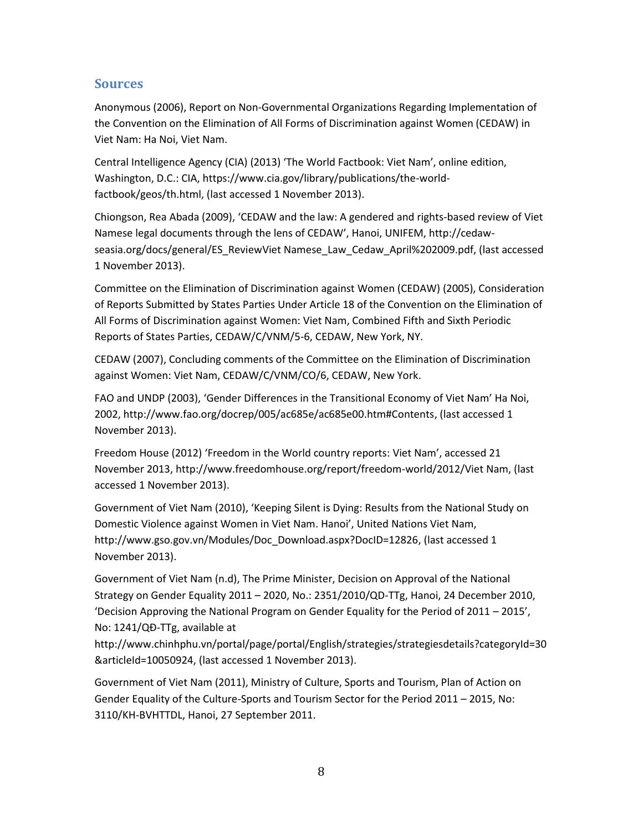# **Sources**

Anonymous (2006), Report on Non-Governmental Organizations Regarding Implementation of the Convention on the Elimination of All Forms of Discrimination against Women (CEDAW) in Viet Nam: Ha Noi, Viet Nam.

Central Intelligence Agency (CIA) (2013) 'The World Factbook: Viet Nam', online edition, Washington, D.C.: CIA, [https://www.cia.gov/library/publications/the-world](https://www.cia.gov/library/publications/the-world-factbook/geos/th.html)[factbook/geos/th.html,](https://www.cia.gov/library/publications/the-world-factbook/geos/th.html) (last accessed 1 November 2013).

Chiongson, Rea Abada (2009), 'CEDAW and the law: A gendered and rights-based review of Viet Namese legal documents through the lens of CEDAW', Hanoi, UNIFEM[, http://cedaw](http://cedaw-seasia.org/docs/general/ES_ReviewVietnamese_Law_Cedaw_April%202009.pdf)[seasia.org/docs/general/ES\\_ReviewViet Namese\\_Law\\_Cedaw\\_April%202009.pdf,](http://cedaw-seasia.org/docs/general/ES_ReviewVietnamese_Law_Cedaw_April%202009.pdf) (last accessed 1 November 2013).

Committee on the Elimination of Discrimination against Women (CEDAW) (2005), Consideration of Reports Submitted by States Parties Under Article 18 of the Convention on the Elimination of All Forms of Discrimination against Women: Viet Nam, Combined Fifth and Sixth Periodic Reports of States Parties, CEDAW/C/VNM/5-6, CEDAW, New York, NY.

CEDAW (2007), Concluding comments of the Committee on the Elimination of Discrimination against Women: Viet Nam, CEDAW/C/VNM/CO/6, CEDAW, New York.

FAO and UNDP (2003), 'Gender Differences in the Transitional Economy of Viet Nam' Ha Noi, 2002, http://www.fao.org/docrep/005/ac685e/ac685e00.htm#Contents, (last accessed 1 November 2013).

Freedom House (2012) 'Freedom in the World country reports: Viet Nam', accessed 21 November 2013, http://www.freedomhouse.org/report/freedom-world/2012/Viet Nam, (last accessed 1 November 2013).

Government of Viet Nam (2010), 'Keeping Silent is Dying: Results from the National Study on Domestic Violence against Women in Viet Nam. Hanoi', United Nations Viet Nam, http://www.gso.gov.vn/Modules/Doc\_Download.aspx?DocID=12826, (last accessed 1 November 2013).

Government of Viet Nam (n.d), The Prime Minister, Decision on Approval of the National Strategy on Gender Equality 2011 – 2020, No.: 2351/2010/QD-TTg, Hanoi, 24 December 2010, 'Decision Approving the National Program on Gender Equality for the Period of 2011 – 2015', No: 1241/QĐ-TTg, available at

[http://www.chinhphu.vn/portal/page/portal/English/strategies/strategiesdetails?categoryId=30](http://www.chinhphu.vn/portal/page/portal/English/strategies/strategiesdetails?categoryId=30&articleId=10050924) [&articleId=10050924,](http://www.chinhphu.vn/portal/page/portal/English/strategies/strategiesdetails?categoryId=30&articleId=10050924) (last accessed 1 November 2013).

Government of Viet Nam (2011), Ministry of Culture, Sports and Tourism, Plan of Action on Gender Equality of the Culture-Sports and Tourism Sector for the Period 2011 – 2015, No: 3110/KH-BVHTTDL, Hanoi, 27 September 2011.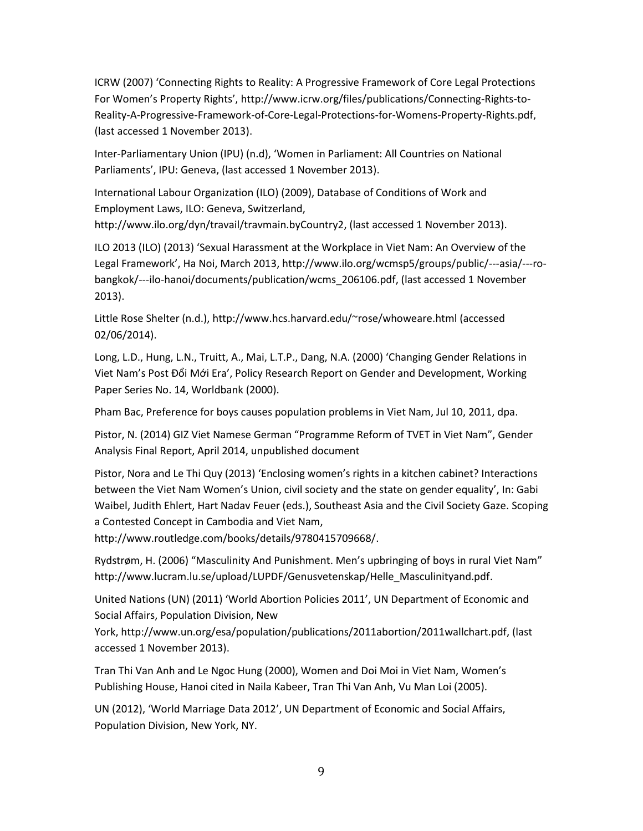ICRW (2007) 'Connecting Rights to Reality: A Progressive Framework of Core Legal Protections For Women's Property Rights', http://www.icrw.org/files/publications/Connecting-Rights-to-Reality-A-Progressive-Framework-of-Core-Legal-Protections-for-Womens-Property-Rights.pdf, (last accessed 1 November 2013).

Inter-Parliamentary Union (IPU) (n.d), 'Women in Parliament: All Countries on National Parliaments', IPU: Geneva, (last accessed 1 November 2013).

International Labour Organization (ILO) (2009), Database of Conditions of Work and Employment Laws, ILO: Geneva, Switzerland,

[http://www.ilo.org/dyn/travail/travmain.byCountry2,](http://www.ilo.org/dyn/travail/travmain.byCountry2) (last accessed 1 November 2013).

ILO 2013 (ILO) (2013) 'Sexual Harassment at the Workplace in Viet Nam: An Overview of the Legal Framework', Ha Noi, March 2013, http://www.ilo.org/wcmsp5/groups/public/---asia/---robangkok/---ilo-hanoi/documents/publication/wcms\_206106.pdf, (last accessed 1 November 2013).

Little Rose Shelter (n.d.), http://www.hcs.harvard.edu/~rose/whoweare.html (accessed 02/06/2014).

Long, L.D., Hung, L.N., Truitt, A., Mai, L.T.P., Dang, N.A. (2000) 'Changing Gender Relations in Viet Nam's Post Đổi Mới Era', Policy Research Report on Gender and Development, Working Paper Series No. 14, Worldbank (2000).

Pham Bac, Preference for boys causes population problems in Viet Nam, Jul 10, 2011, dpa.

Pistor, N. (2014) GIZ Viet Namese German "Programme Reform of TVET in Viet Nam", Gender Analysis Final Report, April 2014, unpublished document

Pistor, Nora and Le Thi Quy (2013) 'Enclosing women's rights in a kitchen cabinet? Interactions between the Viet Nam Women's Union, civil society and the state on gender equality', In: Gabi Waibel, Judith Ehlert, Hart Nadav Feuer (eds.), Southeast Asia and the Civil Society Gaze. Scoping a Contested Concept in Cambodia and Viet Nam,

[http://www.routledge.com/books/details/9780415709668/.](http://www.routledge.com/books/details/9780415709668/)

Rydstrøm, H. (2006) "Masculinity And Punishment. Men's upbringing of boys in rural Viet Nam" http://www.lucram.lu.se/upload/LUPDF/Genusvetenskap/Helle\_Masculinityand.pdf.

United Nations (UN) (2011) 'World Abortion Policies 2011', UN Department of Economic and Social Affairs, Population Division, New

York, http://www.un.org/esa/population/publications/2011abortion/2011wallchart.pdf, (last accessed 1 November 2013).

Tran Thi Van Anh and Le Ngoc Hung (2000), Women and Doi Moi in Viet Nam, Women's Publishing House, Hanoi cited in Naila Kabeer, Tran Thi Van Anh, Vu Man Loi (2005).

UN (2012), 'World Marriage Data 2012', UN Department of Economic and Social Affairs, Population Division, New York, NY.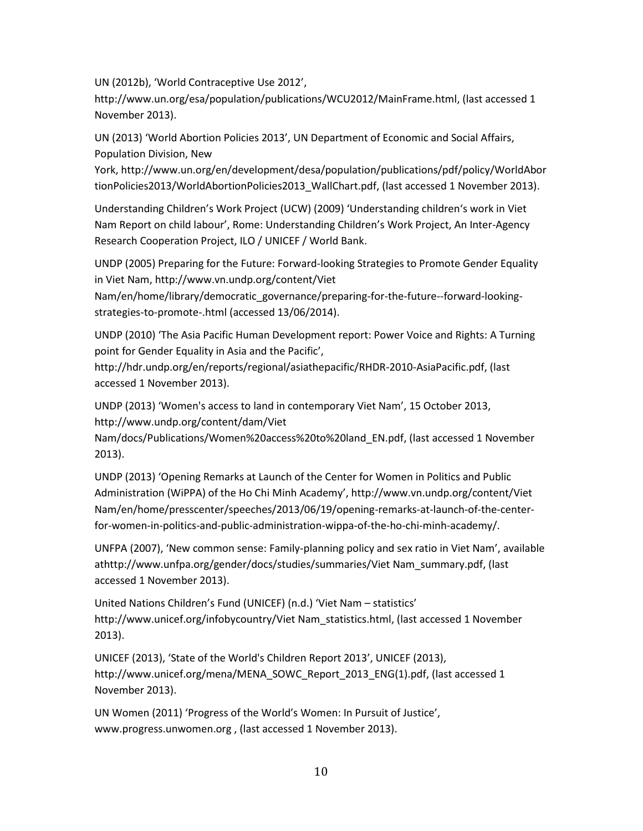UN (2012b), 'World Contraceptive Use 2012',

http://www.un.org/esa/population/publications/WCU2012/MainFrame.html, (last accessed 1 November 2013).

UN (2013) 'World Abortion Policies 2013', UN Department of Economic and Social Affairs, Population Division, New

York, http://www.un.org/en/development/desa/population/publications/pdf/policy/WorldAbor tionPolicies2013/WorldAbortionPolicies2013\_WallChart.pdf, (last accessed 1 November 2013).

Understanding Children's Work Project (UCW) (2009) 'Understanding children's work in Viet Nam Report on child labour', Rome: Understanding Children's Work Project, An Inter-Agency Research Cooperation Project, ILO / UNICEF / World Bank.

UNDP (2005) Preparing for the Future: Forward-looking Strategies to Promote Gender Equality in Viet Nam[, http://www.vn.undp.org/content/Viet](http://www.vn.undp.org/content/vietnam/en/home/library/democratic_governance/preparing-for-the-future--forward-looking-strategies-to-promote-.html) 

[Nam/en/home/library/democratic\\_governance/preparing-for-the-future--forward-looking](http://www.vn.undp.org/content/vietnam/en/home/library/democratic_governance/preparing-for-the-future--forward-looking-strategies-to-promote-.html)[strategies-to-promote-.html](http://www.vn.undp.org/content/vietnam/en/home/library/democratic_governance/preparing-for-the-future--forward-looking-strategies-to-promote-.html) (accessed 13/06/2014).

UNDP (2010) 'The Asia Pacific Human Development report: Power Voice and Rights: A Turning point for Gender Equality in Asia and the Pacific',

[http://hdr.undp.org/en/reports/regional/asiathepacific/RHDR-2010-AsiaPacific.pdf,](http://hdr.undp.org/en/reports/regional/asiathepacific/RHDR-2010-AsiaPacific.pdf) (last accessed 1 November 2013).

UNDP (2013) 'Women's access to land in contemporary Viet Nam', 15 October 2013, http://www.undp.org/content/dam/Viet

Nam/docs/Publications/Women%20access%20to%20land\_EN.pdf, (last accessed 1 November 2013).

UNDP (2013) 'Opening Remarks at Launch of the Center for Women in Politics and Public Administration (WiPPA) of the Ho Chi Minh Academy', http://www.vn.undp.org/content/Viet Nam/en/home/presscenter/speeches/2013/06/19/opening-remarks-at-launch-of-the-centerfor-women-in-politics-and-public-administration-wippa-of-the-ho-chi-minh-academy/.

UNFPA (2007), 'New common sense: Family-planning policy and sex ratio in Viet Nam', available a[thttp://www.unfpa.org/gender/docs/studies/summaries/Viet](http://www.unfpa.org/gender/docs/studies/summaries/vietnam_summary.pdf) Nam\_summary.pdf, (last accessed 1 November 2013).

United Nations Children's Fund (UNICEF) (n.d.) 'Viet Nam – statistics' [http://www.unicef.org/infobycountry/Viet](http://www.unicef.org/infobycountry/vietnam_statistics.html) Nam\_statistics.html, (last accessed 1 November 2013).

UNICEF (2013), 'State of the World's Children Report 2013', UNICEF (2013), [http://www.unicef.org/mena/MENA\\_SOWC\\_Report\\_2013\\_ENG\(1\).pdf,](http://www.unicef.org/mena/MENA_SOWC_Report_2013_ENG(1).pdf) (last accessed 1 November 2013).

UN Women (2011) 'Progress of the World's Women: In Pursuit of Justice', [www.progress.unwomen.org](http://www.progress.unwomen.org/) , (last accessed 1 November 2013).